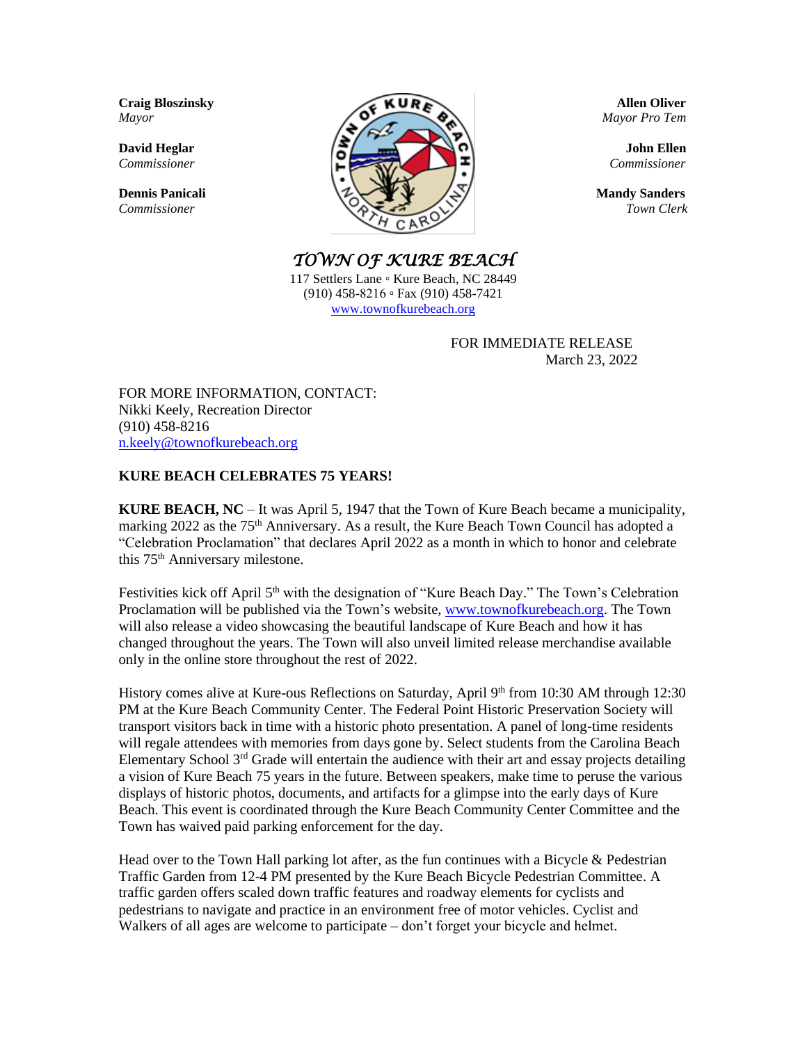

*TOWN OF KURE BEACH* 

117 Settlers Lane 。 Kure Beach, NC 28449 (910) 458-8216 ▫ Fax (910) 458-7421 [www.townofkurebeach.org](http://www.townofkurebeach.org/)

> FOR IMMEDIATE RELEASE March 23, 2022

FOR MORE INFORMATION, CONTACT: Nikki Keely, Recreation Director (910) 458-8216 [n.keely@townofkurebeach.org](mailto:n.keely@townofkurebeach.org)

## **KURE BEACH CELEBRATES 75 YEARS!**

**KURE BEACH, NC** – It was April 5, 1947 that the Town of Kure Beach became a municipality, marking 2022 as the 75<sup>th</sup> Anniversary. As a result, the Kure Beach Town Council has adopted a "Celebration Proclamation" that declares April 2022 as a month in which to honor and celebrate this 75<sup>th</sup> Anniversary milestone.

Festivities kick off April 5<sup>th</sup> with the designation of "Kure Beach Day." The Town's Celebration Proclamation will be published via the Town's website, [www.townofkurebeach.org.](http://www.townofkurebeach.org/) The Town will also release a video showcasing the beautiful landscape of Kure Beach and how it has changed throughout the years. The Town will also unveil limited release merchandise available only in the online store throughout the rest of 2022.

History comes alive at Kure-ous Reflections on Saturday, April 9th from 10:30 AM through 12:30 PM at the Kure Beach Community Center. The Federal Point Historic Preservation Society will transport visitors back in time with a historic photo presentation. A panel of long-time residents will regale attendees with memories from days gone by. Select students from the Carolina Beach Elementary School  $3<sup>rd</sup>$  Grade will entertain the audience with their art and essay projects detailing a vision of Kure Beach 75 years in the future. Between speakers, make time to peruse the various displays of historic photos, documents, and artifacts for a glimpse into the early days of Kure Beach. This event is coordinated through the Kure Beach Community Center Committee and the Town has waived paid parking enforcement for the day.

Head over to the Town Hall parking lot after, as the fun continues with a Bicycle & Pedestrian Traffic Garden from 12-4 PM presented by the Kure Beach Bicycle Pedestrian Committee. A traffic garden offers scaled down traffic features and roadway elements for cyclists and pedestrians to navigate and practice in an environment free of motor vehicles. Cyclist and Walkers of all ages are welcome to participate – don't forget your bicycle and helmet.